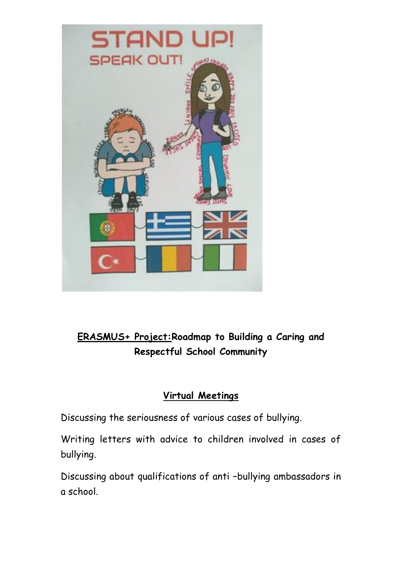

# **ERASMUS+ Project:Roadmap to Building a Caring and Respectful School Community**

# **Virtual Meetings**

Discussing the seriousness of various cases of bullying.

Writing letters with advice to children involved in cases of bullying.

Discussing about qualifications of anti –bullying ambassadors in a school.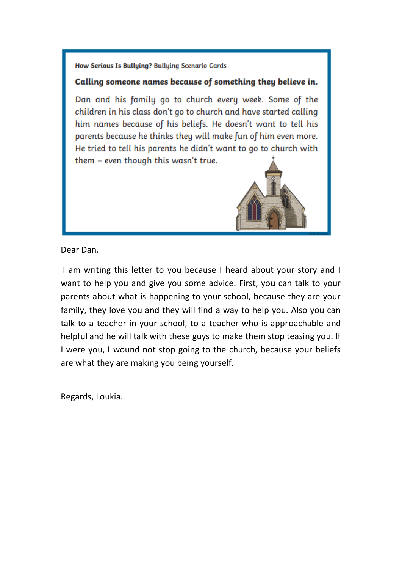# Calling someone names because of something they believe in.

Dan and his family go to church every week. Some of the children in his class don't go to church and have started calling him names because of his beliefs. He doesn't want to tell his parents because he thinks they will make fun of him even more. He tried to tell his parents he didn't want to go to church with them - even though this wasn't true.



Dear Dan,

I am writing this letter to you because I heard about your story and I want to help you and give you some advice. First, you can talk to your parents about what is happening to your school, because they are your family, they love you and they will find a way to help you. Also you can talk to a teacher in your school, to a teacher who is approachable and helpful and he will talk with these guys to make them stop teasing you. If I were you, I wound not stop going to the church, because your beliefs are what they are making you being yourself.

Regards, Loukia.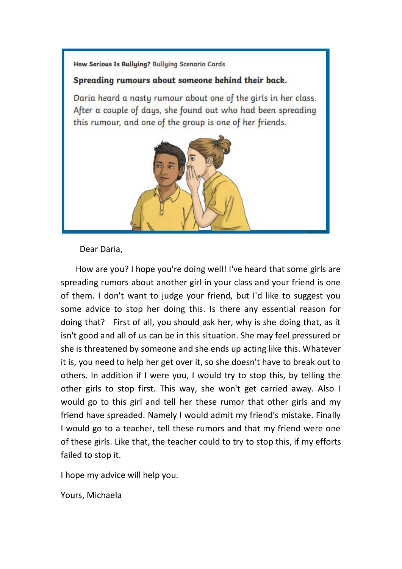### Spreading rumours about someone behind their back.

Daria heard a nasty rumour about one of the girls in her class. After a couple of days, she found out who had been spreading this rumour, and one of the group is one of her friends.



Dear Daria,

 How are you? I hope you're doing well! I've heard that some girls are spreading rumors about another girl in your class and your friend is one of them. I don't want to judge your friend, but I'd like to suggest you some advice to stop her doing this. Is there any essential reason for doing that? First of all, you should ask her, why is she doing that, as it isn't good and all of us can be in this situation. She may feel pressured or she is threatened by someone and she ends up acting like this. Whatever it is, you need to help her get over it, so she doesn't have to break out to others. In addition if I were you, I would try to stop this, by telling the other girls to stop first. This way, she won't get carried away. Also I would go to this girl and tell her these rumor that other girls and my friend have spreaded. Namely I would admit my friend's mistake. Finally I would go to a teacher, tell these rumors and that my friend were one of these girls. Like that, the teacher could to try to stop this, if my efforts failed to stop it.

I hope my advice will help you.

Yours, Michaela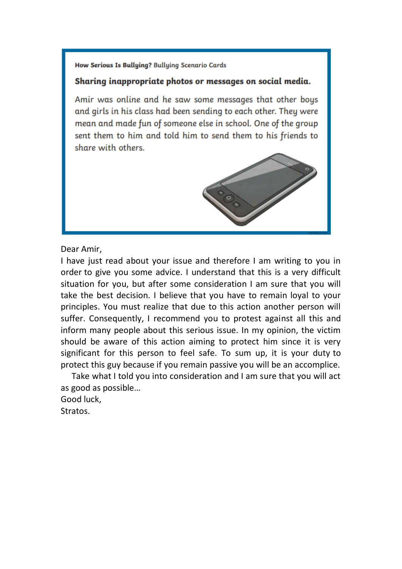#### Sharing inappropriate photos or messages on social media.

Amir was online and he saw some messages that other boys and girls in his class had been sending to each other. They were mean and made fun of someone else in school. One of the group sent them to him and told him to send them to his friends to share with others.



Dear Amir,

I have just read about your issue and therefore I am writing to you in order to give you some advice. I understand that this is a very difficult situation for you, but after some consideration I am sure that you will take the best decision. I believe that you have to remain loyal to your principles. You must realize that due to this action another person will suffer. Consequently, I recommend you to protest against all this and inform many people about this serious issue. In my opinion, the victim should be aware of this action aiming to protect him since it is very significant for this person to feel safe. To sum up, it is your duty to protect this guy because if you remain passive you will be an accomplice.

Take what I told you into consideration and I am sure that you will act as good as possible…

Good luck,

Stratos.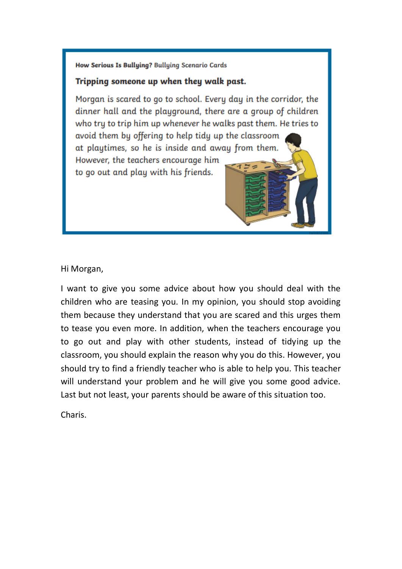# Tripping someone up when they walk past.

Morgan is scared to go to school. Every day in the corridor, the dinner hall and the playground, there are a group of children who try to trip him up whenever he walks past them. He tries to avoid them by offering to help tidy up the classroom at playtimes, so he is inside and away from them. However, the teachers encourage him to go out and play with his friends.

Hi Morgan,

I want to give you some advice about how you should deal with the children who are teasing you. In my opinion, you should stop avoiding them because they understand that you are scared and this urges them to tease you even more. In addition, when the teachers encourage you to go out and play with other students, instead of tidying up the classroom, you should explain the reason why you do this. However, you should try to find a friendly teacher who is able to help you. This teacher will understand your problem and he will give you some good advice. Last but not least, your parents should be aware of this situation too.

Charis.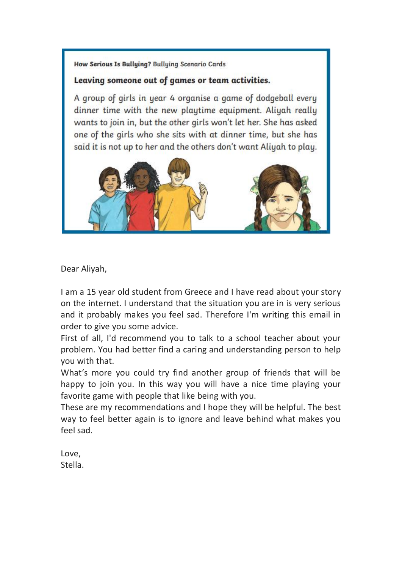# Leaving someone out of games or team activities.

A group of girls in year 4 organise a game of dodgeball every dinner time with the new playtime equipment. Aliyah really wants to join in, but the other girls won't let her. She has asked one of the girls who she sits with at dinner time, but she has said it is not up to her and the others don't want Aliyah to play.



Dear Aliyah,

I am a 15 year old student from Greece and I have read about your story on the internet. I understand that the situation you are in is very serious and it probably makes you feel sad. Therefore I'm writing this email in order to give you some advice.

First of all, I'd recommend you to talk to a school teacher about your problem. You had better find a caring and understanding person to help you with that.

What's more you could try find another group of friends that will be happy to join you. In this way you will have a nice time playing your favorite game with people that like being with you.

These are my recommendations and I hope they will be helpful. The best way to feel better again is to ignore and leave behind what makes you feel sad.

Love, Stella.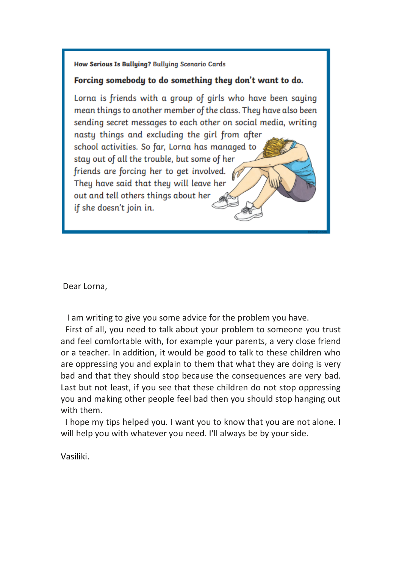#### Forcing somebody to do something they don't want to do.

Lorna is friends with a group of girls who have been saying mean things to another member of the class. They have also been sending secret messages to each other on social media, writing nasty things and excluding the girl from after school activities. So far, Lorna has managed to stay out of all the trouble, but some of her friends are forcing her to get involved. They have said that they will leave her out and tell others things about her if she doesn't join in.

Dear Lorna,

I am writing to give you some advice for the problem you have.

First of all, you need to talk about your problem to someone you trust and feel comfortable with, for example your parents, a very close friend or a teacher. In addition, it would be good to talk to these children who are oppressing you and explain to them that what they are doing is very bad and that they should stop because the consequences are very bad. Last but not least, if you see that these children do not stop oppressing you and making other people feel bad then you should stop hanging out with them.

I hope my tips helped you. I want you to know that you are not alone. I will help you with whatever you need. I'll always be by your side.

Vasiliki.